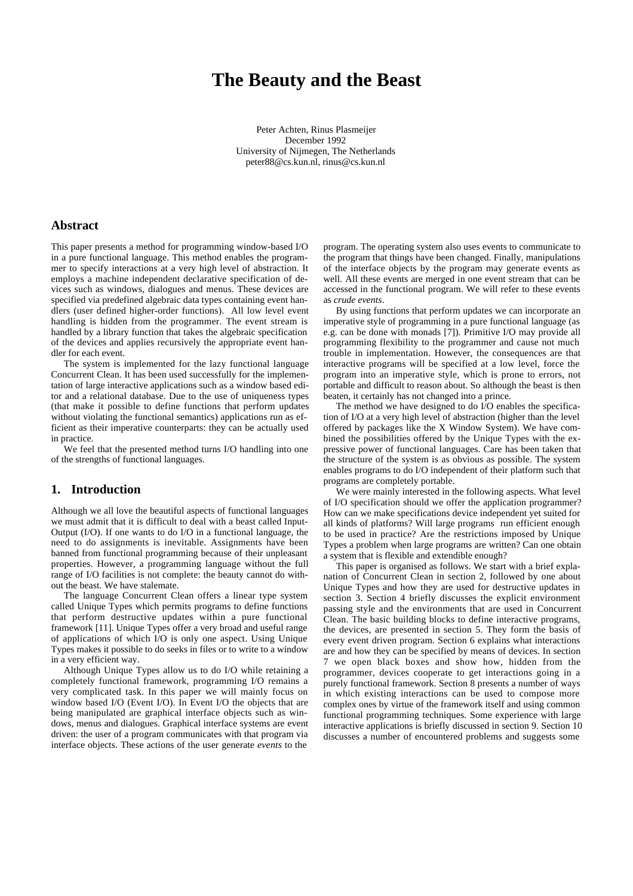# **The Beauty and the Beast**

Peter Achten, Rinus Plasmeijer December 1992 University of Nijmegen, The Netherlands peter88@cs.kun.nl, rinus@cs.kun.nl

# **Abstract**

This paper presents a method for programming window-based I/O in a pure functional language. This method enables the programmer to specify interactions at a very high level of abstraction. It employs a machine independent declarative specification of devices such as windows, dialogues and menus. These devices are specified via predefined algebraic data types containing event handlers (user defined higher-order functions). All low level event handling is hidden from the programmer. The event stream is handled by a library function that takes the algebraic specification of the devices and applies recursively the appropriate event handler for each event.

The system is implemented for the lazy functional language Concurrent Clean. It has been used successfully for the implementation of large interactive applications such as a window based editor and a relational database. Due to the use of uniqueness types (that make it possible to define functions that perform updates without violating the functional semantics) applications run as efficient as their imperative counterparts: they can be actually used in practice.

We feel that the presented method turns I/O handling into one of the strengths of functional languages.

## **1. Introduction**

Although we all love the beautiful aspects of functional languages we must admit that it is difficult to deal with a beast called Input-Output (I/O). If one wants to do I/O in a functional language, the need to do assignments is inevitable. Assignments have been banned from functional programming because of their unpleasant properties. However, a programming language without the full range of I/O facilities is not complete: the beauty cannot do without the beast. We have stalemate.

The language Concurrent Clean offers a linear type system called Unique Types which permits programs to define functions that perform destructive updates within a pure functional framework [11]. Unique Types offer a very broad and useful range of applications of which I/O is only one aspect. Using Unique Types makes it possible to do seeks in files or to write to a window in a very efficient way.

Although Unique Types allow us to do I/O while retaining a completely functional framework, programming I/O remains a very complicated task. In this paper we will mainly focus on window based I/O (Event I/O). In Event I/O the objects that are being manipulated are graphical interface objects such as windows, menus and dialogues. Graphical interface systems are event driven: the user of a program communicates with that program via interface objects. These actions of the user generate *events* to the

program. The operating system also uses events to communicate to the program that things have been changed. Finally, manipulations of the interface objects by the program may generate events as well. All these events are merged in one event stream that can be accessed in the functional program. We will refer to these events as *crude events*.

By using functions that perform updates we can incorporate an imperative style of programming in a pure functional language (as e.g. can be done with monads [7]). Primitive I/O may provide all programming flexibility to the programmer and cause not much trouble in implementation. However, the consequences are that interactive programs will be specified at a low level, force the program into an imperative style, which is prone to errors, not portable and difficult to reason about. So although the beast is then beaten, it certainly has not changed into a prince.

The method we have designed to do I/O enables the specification of I/O at a very high level of abstraction (higher than the level offered by packages like the X Window System). We have combined the possibilities offered by the Unique Types with the expressive power of functional languages. Care has been taken that the structure of the system is as obvious as possible. The system enables programs to do I/O independent of their platform such that programs are completely portable.

We were mainly interested in the following aspects. What level of I/O specification should we offer the application programmer? How can we make specifications device independent yet suited for all kinds of platforms? Will large programs run efficient enough to be used in practice? Are the restrictions imposed by Unique Types a problem when large programs are written? Can one obtain a system that is flexible and extendible enough?

This paper is organised as follows. We start with a brief explanation of Concurrent Clean in section 2, followed by one about Unique Types and how they are used for destructive updates in section 3. Section 4 briefly discusses the explicit environment passing style and the environments that are used in Concurrent Clean. The basic building blocks to define interactive programs, the devices, are presented in section 5. They form the basis of every event driven program. Section 6 explains what interactions are and how they can be specified by means of devices. In section 7 we open black boxes and show how, hidden from the programmer, devices cooperate to get interactions going in a purely functional framework. Section 8 presents a number of ways in which existing interactions can be used to compose more complex ones by virtue of the framework itself and using common functional programming techniques. Some experience with large interactive applications is briefly discussed in section 9. Section 10 discusses a number of encountered problems and suggests some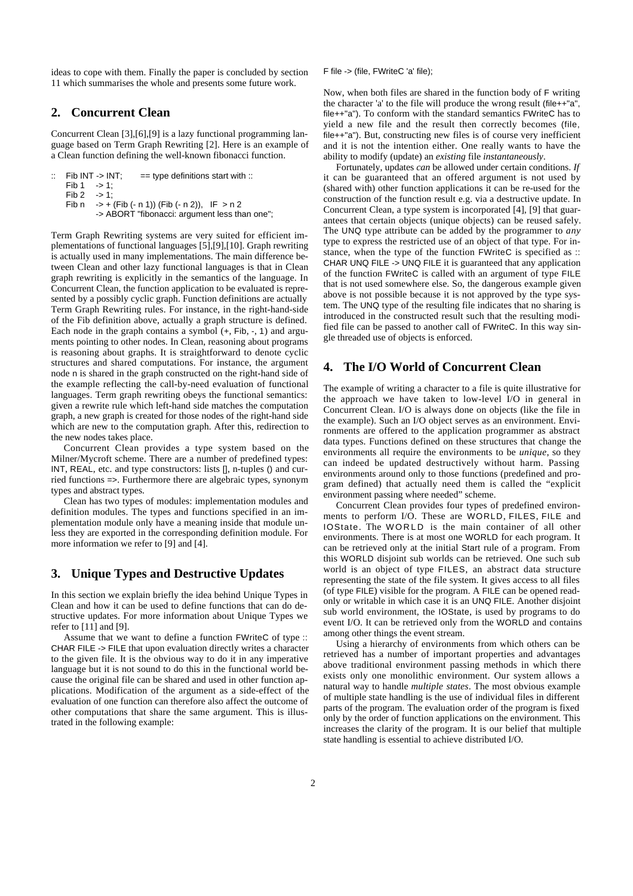ideas to cope with them. Finally the paper is concluded by section 11 which summarises the whole and presents some future work.

# **2. Concurrent Clean**

Concurrent Clean [3],[6],[9] is a lazy functional programming language based on Term Graph Rewriting [2]. Here is an example of a Clean function defining the well-known fibonacci function.

```
Fib INT -> INT; = == type definitions start with ::<br>Fib 1 \rightarrow 1;
        \Rightarrow 1;
Fib 2 \rightarrow 1:
Fib n \rightarrow + (Fib (- n 1)) (Fib (- n 2)), IF > n 2
          -> ABORT "fibonacci: argument less than one";
```
Term Graph Rewriting systems are very suited for efficient implementations of functional languages [5],[9],[10]. Graph rewriting is actually used in many implementations. The main difference between Clean and other lazy functional languages is that in Clean graph rewriting is explicitly in the semantics of the language. In Concurrent Clean, the function application to be evaluated is represented by a possibly cyclic graph. Function definitions are actually Term Graph Rewriting rules. For instance, in the right-hand-side of the Fib definition above, actually a graph structure is defined. Each node in the graph contains a symbol  $(+,$  Fib,  $-,$  1) and arguments pointing to other nodes. In Clean, reasoning about programs is reasoning about graphs. It is straightforward to denote cyclic structures and shared computations. For instance, the argument node n is shared in the graph constructed on the right-hand side of the example reflecting the call-by-need evaluation of functional languages. Term graph rewriting obeys the functional semantics: given a rewrite rule which left-hand side matches the computation graph, a new graph is created for those nodes of the right-hand side which are new to the computation graph. After this, redirection to the new nodes takes place.

Concurrent Clean provides a type system based on the Milner/Mycroft scheme. There are a number of predefined types: INT, REAL, etc. and type constructors: lists [], n-tuples () and curried functions =>. Furthermore there are algebraic types, synonym types and abstract types.

Clean has two types of modules: implementation modules and definition modules. The types and functions specified in an implementation module only have a meaning inside that module unless they are exported in the corresponding definition module. For more information we refer to [9] and [4].

# **3. Unique Types and Destructive Updates**

In this section we explain briefly the idea behind Unique Types in Clean and how it can be used to define functions that can do destructive updates. For more information about Unique Types we refer to [11] and [9].

Assume that we want to define a function FWriteC of type :: CHAR FILE -> FILE that upon evaluation directly writes a character to the given file. It is the obvious way to do it in any imperative language but it is not sound to do this in the functional world because the original file can be shared and used in other function applications. Modification of the argument as a side-effect of the evaluation of one function can therefore also affect the outcome of other computations that share the same argument. This is illustrated in the following example:

F file -> (file, FWriteC 'a' file);

Now, when both files are shared in the function body of F writing the character 'a' to the file will produce the wrong result (file++"a", file++"a"). To conform with the standard semantics FWriteC has to yield a new file and the result then correctly becomes (file, file++"a"). But, constructing new files is of course very inefficient and it is not the intention either. One really wants to have the ability to modify (update) an *existing* file *instantaneously*.

Fortunately, updates *can* be allowed under certain conditions. *If* it can be guaranteed that an offered argument is not used by (shared with) other function applications it can be re-used for the construction of the function result e.g. via a destructive update. In Concurrent Clean, a type system is incorporated [4], [9] that guarantees that certain objects (unique objects) can be reused safely. The UNQ type attribute can be added by the programmer to *any* type to express the restricted use of an object of that type. For instance, when the type of the function FWriteC is specified as :: CHAR UNQ FILE -> UNQ FILE it is guaranteed that any application of the function FWriteC is called with an argument of type FILE that is not used somewhere else. So, the dangerous example given above is not possible because it is not approved by the type system. The UNQ type of the resulting file indicates that no sharing is introduced in the constructed result such that the resulting modified file can be passed to another call of FWriteC. In this way single threaded use of objects is enforced.

# **4. The I/O World of Concurrent Clean**

The example of writing a character to a file is quite illustrative for the approach we have taken to low-level I/O in general in Concurrent Clean. I/O is always done on objects (like the file in the example). Such an I/O object serves as an environment. Environments are offered to the application programmer as abstract data types. Functions defined on these structures that change the environments all require the environments to be *unique*, so they can indeed be updated destructively without harm. Passing environments around only to those functions (predefined and program defined) that actually need them is called the "explicit environment passing where needed" scheme.

Concurrent Clean provides four types of predefined environments to perform I/O. These are WORLD, FILES, FILE and IOState. The WORLD is the main container of all other environments. There is at most one WORLD for each program. It can be retrieved only at the initial Start rule of a program. From this WORLD disjoint sub worlds can be retrieved. One such sub world is an object of type FILES, an abstract data structure representing the state of the file system. It gives access to all files (of type FILE) visible for the program. A FILE can be opened readonly or writable in which case it is an UNQ FILE. Another disjoint sub world environment, the IOState, is used by programs to do event I/O. It can be retrieved only from the WORLD and contains among other things the event stream.

Using a hierarchy of environments from which others can be retrieved has a number of important properties and advantages above traditional environment passing methods in which there exists only one monolithic environment. Our system allows a natural way to handle *multiple states*. The most obvious example of multiple state handling is the use of individual files in different parts of the program. The evaluation order of the program is fixed only by the order of function applications on the environment. This increases the clarity of the program. It is our belief that multiple state handling is essential to achieve distributed I/O.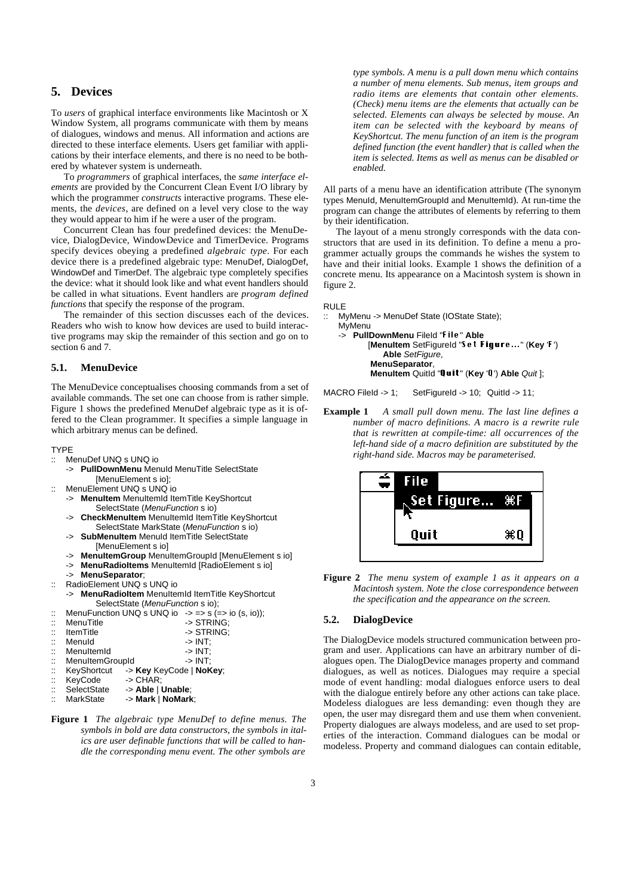# **5. Devices**

To *users* of graphical interface environments like Macintosh or X Window System, all programs communicate with them by means of dialogues, windows and menus. All information and actions are directed to these interface elements. Users get familiar with applications by their interface elements, and there is no need to be bothered by whatever system is underneath.

To *programmers* of graphical interfaces, the *same interface elements* are provided by the Concurrent Clean Event I/O library by which the programmer *constructs* interactive programs. These elements, the *devices*, are defined on a level very close to the way they would appear to him if he were a user of the program.

Concurrent Clean has four predefined devices: the MenuDevice, DialogDevice, WindowDevice and TimerDevice. Programs specify devices obeying a predefined *algebraic type*. For each device there is a predefined algebraic type: MenuDef, DialogDef, WindowDef and TimerDef. The algebraic type completely specifies the device: what it should look like and what event handlers should be called in what situations. Event handlers are *program defined functions* that specify the response of the program.

The remainder of this section discusses each of the devices. Readers who wish to know how devices are used to build interactive programs may skip the remainder of this section and go on to section 6 and 7.

## **5.1. MenuDevice**

The MenuDevice conceptualises choosing commands from a set of available commands. The set one can choose from is rather simple. Figure 1 shows the predefined MenuDef algebraic type as it is offered to the Clean programmer. It specifies a simple language in which arbitrary menus can be defined.

#### TYPE

- :: MenuDef UNQ s UNQ io
	- -> **PullDownMenu** MenuId MenuTitle SelectState [MenuElement s io];
- MenuElement UNQ s UNQ io
	- **MenuItem** MenuItemId ItemTitle KeyShortcut SelectState (MenuFunction s io)
	- -> **CheckMenuItem** MenuItemId ItemTitle KeyShortcut SelectState MarkState (MenuFunction s io)
	- **SubMenuItem** MenuId ItemTitle SelectState [MenuElement s io]
	- -> **MenuItemGroup** MenuItemGroupId [MenuElement s io]
	- -> **MenuRadioItems** MenuItemId [RadioElement s io]
	- -> **MenuSeparator**;
- :: RadioElement UNQ s UNQ io
- MenuRadioItem MenuItemId ItemTitle KeyShortcut SelectState (MenuFunction s io);
- :: MenuFunction UNQ s UNQ io  $\rightarrow$  => s (=> io (s, io));<br>  $\cdot$  MenuTitle -> STRING :: MenuTitle -> STRING;<br>:: ItemTitle -> STRING; -> STRING; :: MenuId -> INT;<br>:: MenuItemId -> INT;<br>:: MenuItemGroupId -> INT; : MenuItemId<br>
MenuItemGroupId
-> INT MenuItemGroupId :: KeyShortcut -> **Key** KeyCode | **NoKey**;  $\rightarrow$  CHAR;
- 
- :: SelectState -> **Able** | **Unable**;  $\geq$  Mark | NoMark;
- **Figure 1** *The algebraic type MenuDef to define menus. The symbols in bold are data constructors, the symbols in italics are user definable functions that will be called to handle the corresponding menu event. The other symbols are*

*type symbols. A menu is a pull down menu which contains a number of menu elements. Sub menus, item groups and radio items are elements that contain other elements. (Check) menu items are the elements that actually can be selected. Elements can always be selected by mouse. An item can be selected with the keyboard by means of KeyShortcut. The menu function of an item is the program defined function (the event handler) that is called when the item is selected. Items as well as menus can be disabled or enabled.*

All parts of a menu have an identification attribute (The synonym types MenuId, MenuItemGroupId and MenuItemId). At run-time the program can change the attributes of elements by referring to them by their identification.

The layout of a menu strongly corresponds with the data constructors that are used in its definition. To define a menu a programmer actually groups the commands he wishes the system to have and their initial looks. Example 1 shows the definition of a concrete menu. Its appearance on a Macintosh system is shown in figure 2.

RULE

:: MyMenu -> MenuDef State (IOState State);

```
MyMenu
-> PullDownMenu FileId "File" Able
       [MenuItem SetFigureId "Set Figure..." (Key 'F')
           Able SetFigure,
        MenuSeparator,
        MenuItem QuitId "Quit" (Key 'Q') Able Quit ];
```
MACRO FileId -> 1; SetFigureId -> 10; QuitId -> 11;

**Example 1** *A small pull down menu. The last line defines a number of macro definitions. A macro is a rewrite rule that is rewritten at compile-time: all occurrences of the left-hand side of a macro definition are substituted by the right-hand side. Macros may be parameterised.*



**Figure 2** *The menu system of example 1 as it appears on a Macintosh system. Note the close correspondence between the specification and the appearance on the screen.*

## **5.2. DialogDevice**

The DialogDevice models structured communication between program and user. Applications can have an arbitrary number of dialogues open. The DialogDevice manages property and command dialogues, as well as notices. Dialogues may require a special mode of event handling: modal dialogues enforce users to deal with the dialogue entirely before any other actions can take place. Modeless dialogues are less demanding: even though they are open, the user may disregard them and use them when convenient. Property dialogues are always modeless, and are used to set properties of the interaction. Command dialogues can be modal or modeless. Property and command dialogues can contain editable,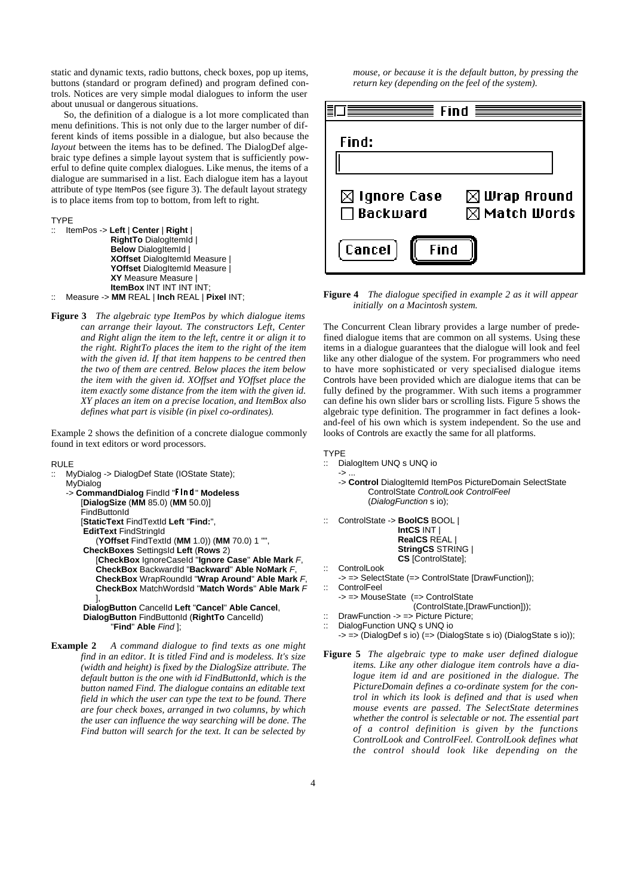static and dynamic texts, radio buttons, check boxes, pop up items, buttons (standard or program defined) and program defined controls. Notices are very simple modal dialogues to inform the user about unusual or dangerous situations.

So, the definition of a dialogue is a lot more complicated than menu definitions. This is not only due to the larger number of different kinds of items possible in a dialogue, but also because the *layout* between the items has to be defined. The DialogDef algebraic type defines a simple layout system that is sufficiently powerful to define quite complex dialogues. Like menus, the items of a dialogue are summarised in a list. Each dialogue item has a layout attribute of type ItemPos (see figure 3). The default layout strategy is to place items from top to bottom, from left to right.

TYPE

```
:: ItemPos -> Left | Center | Right |
              RightTo DialogItemId |
              Below DialogItemId |
              XOffset DialogItemId Measure |
              YOffset DialogItemId Measure |
              XY Measure Measure |
              ItemBox INT INT INT:
   :: Measure -> MM REAL | Inch REAL | Pixel INT;
```
**Figure 3** *The algebraic type ItemPos by which dialogue items can arrange their layout. The constructors Left, Center and Right align the item to the left, centre it or align it to the right. RightTo places the item to the right of the item with the given id. If that item happens to be centred then the two of them are centred. Below places the item below the item with the given id. XOffset and YOffset place the item exactly some distance from the item with the given id. XY places an item on a precise location, and ItemBox also defines what part is visible (in pixel co-ordinates).*

Example 2 shows the definition of a concrete dialogue commonly found in text editors or word processors.

RULE

MyDialog -> DialogDef State (IOState State); MyDialog -> **CommandDialog** FindId "Find" **Modeless** [**DialogSize** (**MM** 85.0) (**MM** 50.0)]

> FindButtonId [**StaticText** FindTextId **Left** "**Find:**", **EditText** FindStringId

(**YOffset** FindTextId (**MM** 1.0)) (**MM** 70.0) 1 "", **CheckBoxes** SettingsId **Left** (**Rows** 2) [**CheckBox** IgnoreCaseId "**Ignore Case**" **Able Mark** F,

**CheckBox** BackwardId "**Backward**" **Able NoMark** F, **CheckBox** WrapRoundId "**Wrap Around**" **Able Mark** F, **CheckBox** MatchWordsId "**Match Words**" **Able Mark** F ],

**DialogButton** CancelId **Left** "**Cancel**" **Able Cancel**, **DialogButton** FindButtonId (**RightTo** CancelId) "**Find**" **Able** Find ];

**Example 2** *A command dialogue to find texts as one might find in an editor. It is titled Find and is modeless. It's size (width and height) is fixed by the DialogSize attribute. The default button is the one with id FindButtonId, which is the button named Find. The dialogue contains an editable text field in which the user can type the text to be found. There are four check boxes, arranged in two columns, by which the user can influence the way searching will be done. The Find button will search for the text. It can be selected by*

*mouse, or because it is the default button, by pressing the return key (depending on the feel of the system).*

| $\equiv$ Find $\equiv$                     |                                                    |  |  |
|--------------------------------------------|----------------------------------------------------|--|--|
| Find:                                      |                                                    |  |  |
|                                            |                                                    |  |  |
| $\boxtimes$ Ignore Case<br>$\Box$ Backward | $\boxtimes$ Wrap Around<br>$\boxtimes$ Match Words |  |  |
| [Cancel]<br>Find                           |                                                    |  |  |

**Figure 4** *The dialogue specified in example 2 as it will appear initially on a Macintosh system.*

The Concurrent Clean library provides a large number of predefined dialogue items that are common on all systems. Using these items in a dialogue guarantees that the dialogue will look and feel like any other dialogue of the system. For programmers who need to have more sophisticated or very specialised dialogue items Controls have been provided which are dialogue items that can be fully defined by the programmer. With such items a programmer can define his own slider bars or scrolling lists. Figure 5 shows the algebraic type definition. The programmer in fact defines a lookand-feel of his own which is system independent. So the use and looks of Controls are exactly the same for all platforms.

- TYPE
- :: DialogItem UNQ s UNQ io
	- $\rightarrow$  . -> **Control** DialogItemId ItemPos PictureDomain SelectState ControlState ControlLook ControlFeel (DialogFunction s io);
- :: ControlState -> **BoolCS** BOOL | **IntCS** INT | **RealCS** REAL | **StringCS** STRING | **CS** [ControlState];
- :: ControlLook
- -> => SelectState (=> ControlState [DrawFunction]);
- :: ControlFeel
	- -> => MouseState (=> ControlState (ControlState,[DrawFunction]));
- :: DrawFunction -> => Picture Picture;
- :: DialogFunction UNQ s UNQ io
- -> => (DialogDef s io) (=> (DialogState s io) (DialogState s io));
- **Figure 5** *The algebraic type to make user defined dialogue items. Like any other dialogue item controls have a dialogue item id and are positioned in the dialogue. The PictureDomain defines a co-ordinate system for the control in which its look is defined and that is used when mouse events are passed. The SelectState determines whether the control is selectable or not. The essential part of a control definition is given by the functions ControlLook and ControlFeel. ControlLook defines what the control should look like depending on the*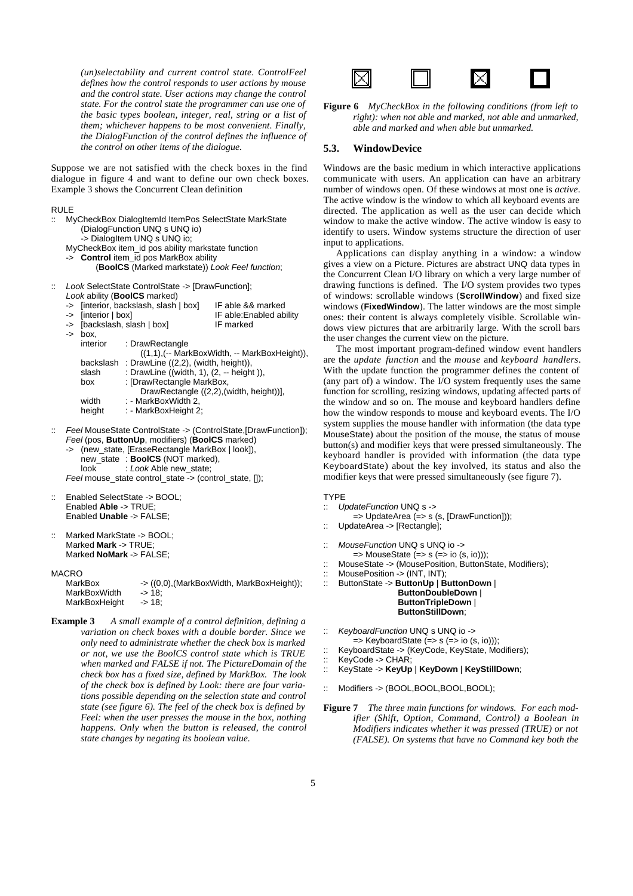*(un)selectability and current control state. ControlFeel defines how the control responds to user actions by mouse and the control state. User actions may change the control state. For the control state the programmer can use one of the basic types boolean, integer, real, string or a list of them; whichever happens to be most convenient. Finally, the DialogFunction of the control defines the influence of the control on other items of the dialogue.*

Suppose we are not satisfied with the check boxes in the find dialogue in figure 4 and want to define our own check boxes. Example 3 shows the Concurrent Clean definition

#### RULE

- MyCheckBox DialogItemId ItemPos SelectState MarkState (DialogFunction UNQ s UNQ io) -> DialogItem UNQ s UNQ io; MyCheckBox item\_id pos ability markstate function -> **Control** item\_id pos MarkBox ability (**BoolCS** (Marked markstate)) Look Feel function; :: Look SelectState ControlState -> [DrawFunction]; Look ability (**BoolCS** marked) -> [interior, backslash, slash | box] IF able && marked -> [interior | box] IF able:Enabled ability -> [backslash, slash | box] IF marked -> box, interior : DrawRectangle ((1,1),(-- MarkBoxWidth, -- MarkBoxHeight)), backslash: DrawLine ((2,2), (width, height)) slash : DrawLine ((width, 1), (2, -- height )), box : [DrawRectangle MarkBox,
	- DrawRectangle ((2,2),(width, height))], width : - MarkBoxWidth 2,
	- height : MarkBoxHeight 2;
- :: Feel MouseState ControlState -> (ControlState,[DrawFunction]); Feel (pos, **ButtonUp**, modifiers) (**BoolCS** marked)
	- (new\_state, [EraseRectangle MarkBox | look]), new\_state : **BoolCS** (NOT marked), look : Look Able new\_state;

Feel mouse state control state -> (control state, [1);

- :: Enabled SelectState -> BOOL; Enabled **Able** -> TRUE; Enabled **Unable** -> FALSE;
- Marked MarkState -> BOOL: Marked **Mark** -> TRUE; Marked **NoMark** -> FALSE;

#### MACRO

| MarkBox       | -> ((0,0), (MarkBoxWidth, MarkBoxHeight)); |
|---------------|--------------------------------------------|
| MarkBoxWidth  | -> 18:                                     |
| MarkBoxHeight | -> 18:                                     |

**Example 3** *A small example of a control definition, defining a variation on check boxes with a double border. Since we only need to administrate whether the check box is marked or not, we use the BoolCS control state which is TRUE when marked and FALSE if not. The PictureDomain of the check box has a fixed size, defined by MarkBox. The look of the check box is defined by Look: there are four variations possible depending on the selection state and control state (see figure 6). The feel of the check box is defined by Feel: when the user presses the mouse in the box, nothing happens. Only when the button is released, the control state changes by negating its boolean value.*



**Figure 6** *MyCheckBox in the following conditions (from left to right): when not able and marked, not able and unmarked, able and marked and when able but unmarked.*

#### **5.3. WindowDevice**

Windows are the basic medium in which interactive applications communicate with users. An application can have an arbitrary number of windows open. Of these windows at most one is *active*. The active window is the window to which all keyboard events are directed. The application as well as the user can decide which window to make the active window. The active window is easy to identify to users. Window systems structure the direction of user input to applications.

Applications can display anything in a window: a window gives a view on a Picture. Pictures are abstract UNQ data types in the Concurrent Clean I/O library on which a very large number of drawing functions is defined. The I/O system provides two types of windows: scrollable windows (**ScrollWindow**) and fixed size windows (**FixedWindow**). The latter windows are the most simple ones: their content is always completely visible. Scrollable windows view pictures that are arbitrarily large. With the scroll bars the user changes the current view on the picture.

The most important program-defined window event handlers are the *update function* and the *mouse* and *keyboard handlers*. With the update function the programmer defines the content of (any part of) a window. The I/O system frequently uses the same function for scrolling, resizing windows, updating affected parts of the window and so on. The mouse and keyboard handlers define how the window responds to mouse and keyboard events. The I/O system supplies the mouse handler with information (the data type MouseState) about the position of the mouse, the status of mouse button(s) and modifier keys that were pressed simultaneously. The keyboard handler is provided with information (the data type KeyboardState) about the key involved, its status and also the modifier keys that were pressed simultaneously (see figure 7).

## TYPE

- :: UpdateFunction UNQ s ->
	- => UpdateArea (=> s (s, [DrawFunction]));
- :: UpdateArea -> [Rectangle];
- :: MouseFunction UNQ s UNQ io ->
	- $\Rightarrow$  MouseState ( $\Rightarrow$  s ( $\Rightarrow$  io (s, io)));
- :: MouseState -> (MousePosition, ButtonState, Modifiers);
- :: MousePosition -> (INT, INT);
- :: ButtonState -> **ButtonUp** | **ButtonDown** | **ButtonDoubleDown** | **ButtonTripleDown** | **ButtonStillDown**;
- :: KeyboardFunction UNQ s UNQ io ->
- $\Rightarrow$  KeyboardState ( $\Rightarrow$  s ( $\Rightarrow$  io (s, io)));
- :: KeyboardState -> (KeyCode, KeyState, Modifiers);
- :: KeyCode -> CHAR;
- :: KeyState -> **KeyUp** | **KeyDown** | **KeyStillDown**;
- :: Modifiers -> (BOOL,BOOL,BOOL,BOOL);
- **Figure 7** *The three main functions for windows. For each modifier (Shift, Option, Command, Control) a Boolean in Modifiers indicates whether it was pressed (TRUE) or not (FALSE). On systems that have no Command key both the*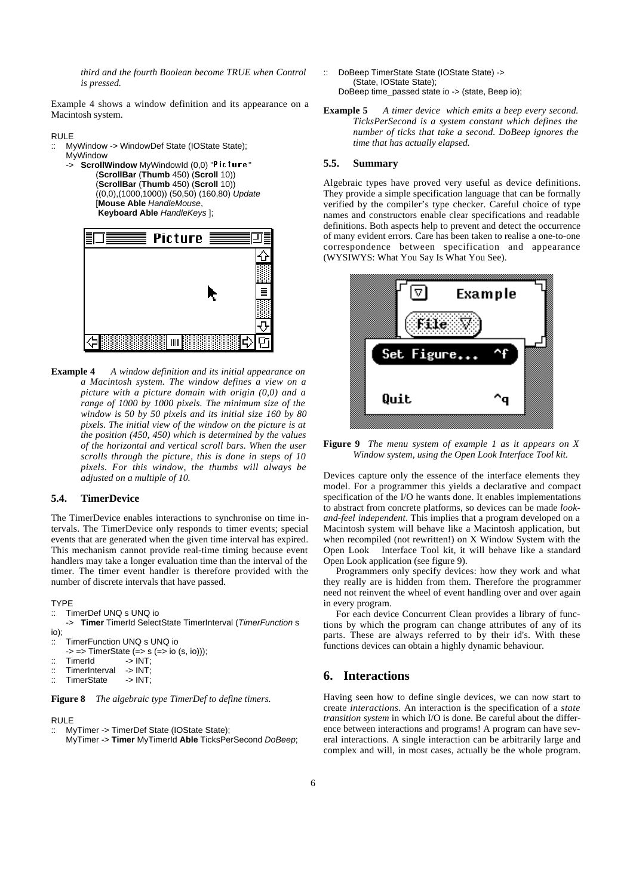*third and the fourth Boolean become TRUE when Control is pressed.*

Example 4 shows a window definition and its appearance on a Macintosh system.

#### RULE

- :: MyWindow -> WindowDef State (IOState State); MyWindow
	- -> **ScrollWindow** MyWindowId (0,0) "Picture" (**ScrollBar** (**Thumb** 450) (**Scroll** 10)) (**ScrollBar** (**Thumb** 450) (**Scroll** 10)) ((0,0),(1000,1000)) (50,50) (160,80) Update [**Mouse Able** HandleMouse, **Keyboard Able** HandleKeys ];



**Example 4** *A window definition and its initial appearance on a Macintosh system. The window defines a view on a picture with a picture domain with origin (0,0) and a range of 1000 by 1000 pixels. The minimum size of the window is 50 by 50 pixels and its initial size 160 by 80 pixels. The initial view of the window on the picture is at the position (450, 450) which is determined by the values of the horizontal and vertical scroll bars. When the user scrolls through the picture, this is done in steps of 10 pixels. For this window, the thumbs will always be adjusted on a multiple of 10.*

## **5.4. TimerDevice**

The TimerDevice enables interactions to synchronise on time intervals. The TimerDevice only responds to timer events; special events that are generated when the given time interval has expired. This mechanism cannot provide real-time timing because event handlers may take a longer evaluation time than the interval of the timer. The timer event handler is therefore provided with the number of discrete intervals that have passed.

#### TYPE

- :: TimerDef UNQ s UNQ io
- -> **Timer** TimerId SelectState TimerInterval (TimerFunction s io);

```
:: TimerFunction UNQ s UNQ io
```
 $\Rightarrow$   $\Rightarrow$  TimerState ( $\Rightarrow$  s ( $\Rightarrow$  io (s, io)));<br>TimerId  $\Rightarrow$  INT

```
:: TimerId -> INT;<br>:: TimerInterval -> INT:
```
- :: TimerInterval -> INT;<br>:: TimerState -> INT;
- TimerState

**Figure 8** *The algebraic type TimerDef to define timers.*

## RULE

:: MyTimer -> TimerDef State (IOState State); MyTimer -> **Timer** MyTimerId **Able** TicksPerSecond DoBeep;

- :: DoBeep TimerState State (IOState State) -> (State, IOState State); DoBeep time\_passed state io -> (state, Beep io);
- **Example 5** *A timer device which emits a beep every second. TicksPerSecond is a system constant which defines the number of ticks that take a second. DoBeep ignores the time that has actually elapsed.*

## **5.5. Summary**

Algebraic types have proved very useful as device definitions. They provide a simple specification language that can be formally verified by the compiler's type checker. Careful choice of type names and constructors enable clear specifications and readable definitions. Both aspects help to prevent and detect the occurrence of many evident errors. Care has been taken to realise a one-to-one correspondence between specification and appearance (WYSIWYS: What You Say Is What You See).



**Figure 9** *The menu system of example 1 as it appears on X Window system, using the Open Look Interface Tool kit.*

Devices capture only the essence of the interface elements they model. For a programmer this yields a declarative and compact specification of the I/O he wants done. It enables implementations to abstract from concrete platforms, so devices can be made *lookand-feel independent*. This implies that a program developed on a Macintosh system will behave like a Macintosh application, but when recompiled (not rewritten!) on X Window System with the Open Look<sup>TM</sup> Interface Tool kit, it will behave like a standard Open Look application (see figure 9).

Programmers only specify devices: how they work and what they really are is hidden from them. Therefore the programmer need not reinvent the wheel of event handling over and over again in every program.

For each device Concurrent Clean provides a library of functions by which the program can change attributes of any of its parts. These are always referred to by their id's. With these functions devices can obtain a highly dynamic behaviour.

# **6. Interactions**

Having seen how to define single devices, we can now start to create *interactions*. An interaction is the specification of a *state transition system* in which I/O is done. Be careful about the difference between interactions and programs! A program can have several interactions. A single interaction can be arbitrarily large and complex and will, in most cases, actually be the whole program.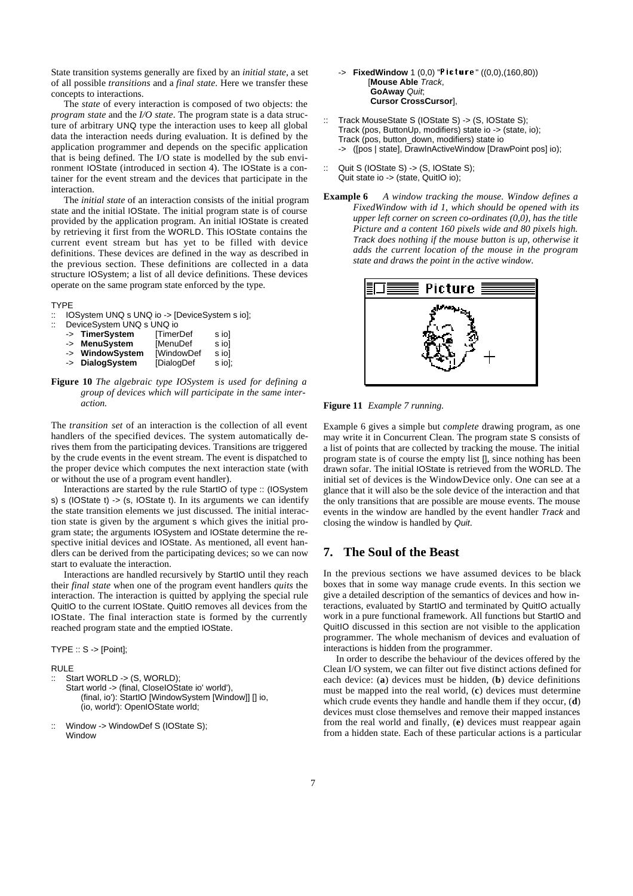State transition systems generally are fixed by an *initial state*, a set of all possible *transitions* and a *final state*. Here we transfer these concepts to interactions.

The *state* of every interaction is composed of two objects: the *program state* and the *I/O state*. The program state is a data structure of arbitrary UNQ type the interaction uses to keep all global data the interaction needs during evaluation. It is defined by the application programmer and depends on the specific application that is being defined. The I/O state is modelled by the sub environment IOState (introduced in section 4). The IOState is a container for the event stream and the devices that participate in the interaction.

The *initial state* of an interaction consists of the initial program state and the initial IOState. The initial program state is of course provided by the application program. An initial IOState is created by retrieving it first from the WORLD. This IOState contains the current event stream but has yet to be filled with device definitions. These devices are defined in the way as described in the previous section. These definitions are collected in a data structure IOSystem; a list of all device definitions. These devices operate on the same program state enforced by the type.

#### TYPE

IOSystem UNQ s UNQ io -> [DeviceSystem s io];

| $\ddot{\phantom{a}}$ | DeviceSystem UNQ s UNQ io |                   |        |  |  |
|----------------------|---------------------------|-------------------|--------|--|--|
|                      | -> TimerSystem            | <b>TimerDef</b>   | s iol  |  |  |
|                      | -> MenuSystem             | [MenuDef          | s iol  |  |  |
|                      | -> WindowSystem           | <b>[WindowDef</b> | s iol  |  |  |
|                      | -> DialogSystem           | [DialogDef        | s iol; |  |  |

**Figure 10** *The algebraic type IOSystem is used for defining a group of devices which will participate in the same interaction.*

The *transition set* of an interaction is the collection of all event handlers of the specified devices. The system automatically derives them from the participating devices. Transitions are triggered by the crude events in the event stream. The event is dispatched to the proper device which computes the next interaction state (with or without the use of a program event handler).

Interactions are started by the rule StartIO of type :: (IOSystem s) s (IOState t)  $\rightarrow$  (s, IOState t). In its arguments we can identify the state transition elements we just discussed. The initial interaction state is given by the argument s which gives the initial program state; the arguments IOSystem and IOState determine the respective initial devices and IOState. As mentioned, all event handlers can be derived from the participating devices; so we can now start to evaluate the interaction.

Interactions are handled recursively by StartIO until they reach their *final state* when one of the program event handlers *quits* the interaction. The interaction is quitted by applying the special rule QuitIO to the current IOState. QuitIO removes all devices from the IOState. The final interaction state is formed by the currently reached program state and the emptied IOState.

TYPE :: S -> [Point];

#### RULE

- :: Start WORLD -> (S, WORLD);
	- Start world -> (final, CloseIOState io' world'), (final, io'): StartIO [WindowSystem [Window]] [] io, (io, world'): OpenIOState world;
- :: Window -> WindowDef S (IOState S); Window

## **FixedWindow** 1 (0,0) "Picture" ((0,0),(160,80)) [**Mouse Able** Track, **GoAway** Quit; **Cursor CrossCursor**],

- :: Track MouseState S (IOState S) -> (S, IOState S); Track (pos, ButtonUp, modifiers) state io -> (state, io); Track (pos, button\_down, modifiers) state io -> ([pos | state], DrawInActiveWindow [DrawPoint pos] io);
- :: Quit S (IOState S) -> (S, IOState S); Quit state io -> (state, QuitIO io);
- **Example 6** *A window tracking the mouse. Window defines a FixedWindow with id 1, which should be opened with its upper left corner on screen co-ordinates (0,0), has the title Picture and a content 160 pixels wide and 80 pixels high.* Track *does nothing if the mouse button is up, otherwise it adds the current location of the mouse in the program state and draws the point in the active window.*



**Figure 11** *Example 7 running.*

Example 6 gives a simple but *complete* drawing program, as one may write it in Concurrent Clean. The program state S consists of a list of points that are collected by tracking the mouse. The initial program state is of course the empty list [], since nothing has been drawn sofar. The initial IOState is retrieved from the WORLD. The initial set of devices is the WindowDevice only. One can see at a glance that it will also be the sole device of the interaction and that the only transitions that are possible are mouse events. The mouse events in the window are handled by the event handler Track and closing the window is handled by Quit.

# **7. The Soul of the Beast**

In the previous sections we have assumed devices to be black boxes that in some way manage crude events. In this section we give a detailed description of the semantics of devices and how interactions, evaluated by StartIO and terminated by QuitIO actually work in a pure functional framework. All functions but StartIO and QuitIO discussed in this section are not visible to the application programmer. The whole mechanism of devices and evaluation of interactions is hidden from the programmer.

In order to describe the behaviour of the devices offered by the Clean I/O system, we can filter out five distinct actions defined for each device: (**a**) devices must be hidden, (**b**) device definitions must be mapped into the real world, (**c**) devices must determine which crude events they handle and handle them if they occur, (**d**) devices must close themselves and remove their mapped instances from the real world and finally, (**e**) devices must reappear again from a hidden state. Each of these particular actions is a particular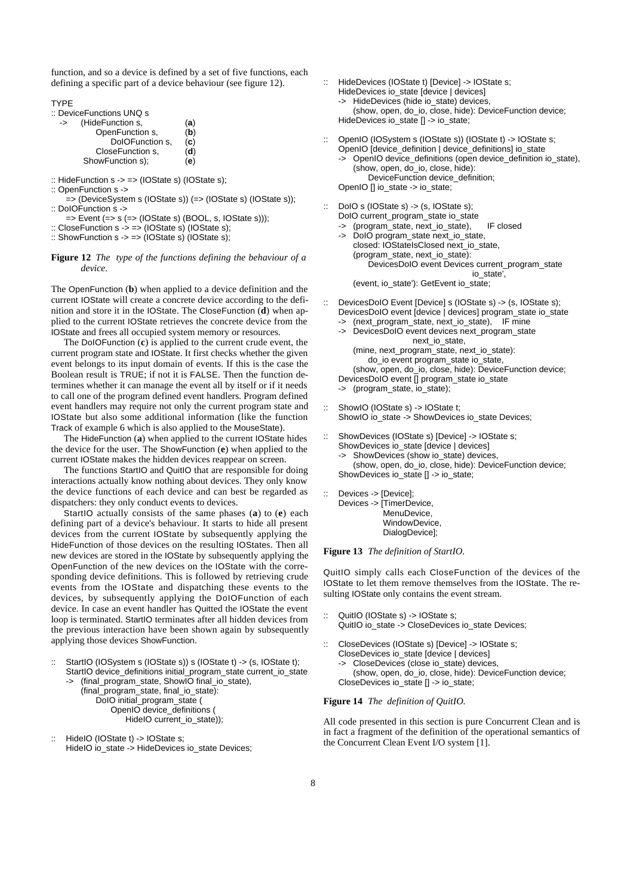function, and so a device is defined by a set of five functions, each defining a specific part of a device behaviour (see figure 12).

TYPE

:: DeviceFunctions UNQ s

| -> | (HideFunction s, | (a) |
|----|------------------|-----|
|    | OpenFunction s.  | (b) |
|    | DoIOFunction s.  | (c) |
|    | CloseFunction s. | (d) |
|    | ShowFunction s); | (e) |

- :: HideFunction  $s \rightarrow \Rightarrow$  (IOState s) (IOState s);
- :: OpenFunction s ->
- => (DeviceSystem s (IOState s)) (=> (IOState s) (IOState s)); :: DoIOFunction s ->
- $\Rightarrow$  Event ( $\Rightarrow$  s ( $\Rightarrow$  (IOState s) (BOOL, s, IOState s)));
- $\therefore$  CloseFunction s  $\rightarrow$   $\Rightarrow$  (IOState s) (IOState s);
- :: ShowFunction  $s \rightarrow \Rightarrow$  (IOState s) (IOState s);

#### **Figure 12** *The type of the functions defining the behaviour of a device.*

The OpenFunction (**b**) when applied to a device definition and the current IOState will create a concrete device according to the definition and store it in the IOState. The CloseFunction (**d**) when applied to the current IOState retrieves the concrete device from the IOState and frees all occupied system memory or resources.

The DoIOFunction (**c**) is applied to the current crude event, the current program state and IOState. It first checks whether the given event belongs to its input domain of events. If this is the case the Boolean result is TRUE; if not it is FALSE. Then the function determines whether it can manage the event all by itself or if it needs to call one of the program defined event handlers. Program defined event handlers may require not only the current program state and IOState but also some additional information (like the function Track of example 6 which is also applied to the MouseState).

The HideFunction (**a**) when applied to the current IOState hides the device for the user. The ShowFunction (**e**) when applied to the current IOState makes the hidden devices reappear on screen.

The functions StartIO and QuitIO that are responsible for doing interactions actually know nothing about devices. They only know the device functions of each device and can best be regarded as dispatchers: they only conduct events to devices.

StartIO actually consists of the same phases (**a**) to (**e**) each defining part of a device's behaviour. It starts to hide all present devices from the current IOState by subsequently applying the HideFunction of those devices on the resulting IOStates. Then all new devices are stored in the IOState by subsequently applying the OpenFunction of the new devices on the IOState with the corresponding device definitions. This is followed by retrieving crude events from the IOState and dispatching these events to the devices, by subsequently applying the DoIOFunction of each device. In case an event handler has Quitted the IOState the event loop is terminated. StartIO terminates after all hidden devices from the previous interaction have been shown again by subsequently applying those devices ShowFunction.

- StartIO (IOSystem s (IOState s)) s (IOState t) -> (s, IOState t); StartIO device\_definitions initial\_program\_state current\_io\_state (final\_program\_state, ShowIO final\_io\_state), (final\_program\_state, final\_io\_state): DoIO initial\_program\_state ( OpenIO device\_definitions ( HideIO current\_io\_state));
- HideIO (IOState t) -> IOState s; HideIO io\_state -> HideDevices io\_state Devices;
- :: HideDevices (IOState t) [Device] -> IOState s; HideDevices io\_state [device | devices]
	- -> HideDevices (hide io\_state) devices,

(show, open, do\_io, close, hide): DeviceFunction device; HideDevices io\_state [] -> io\_state;

- OpenIO (IOSystem s (IOState s)) (IOState t) -> IOState s; OpenIO [device\_definition | device\_definitions] io\_state -> OpenIO device\_definitions (open device\_definition io\_state), (show, open, do\_io, close, hide):
	- DeviceFunction device\_definition;
- OpenIO [] io\_state -> io\_state;
- :: DoIO s (IOState s) -> (s, IOState s); DoIO current\_program\_state io\_state
	- (program\_state, next\_io\_state), IF closed
	- DoIO program\_state next\_io\_state, closed: IOStateIsClosed next\_io\_state, (program\_state, next\_io\_state): DevicesDoIO event Devices current\_program\_state io\_state',

(event, io\_state'): GetEvent io\_state;

- :: DevicesDoIO Event [Device] s (IOState s) -> (s, IOState s); DevicesDoIO event [device | devices] program\_state io\_state
	- (next\_program\_state, next\_io\_state), IF mine
	- -> DevicesDoIO event devices next\_program\_state next\_io\_state, (mine, next\_program\_state, next\_io\_state): do\_io event program\_state io\_state, (show, open, do\_io, close, hide): DeviceFunction device; DevicesDoIO event [] program\_state io\_state -> (program\_state, io\_state);
- :: ShowIO (IOState s) -> IOState t; ShowIO io\_state -> ShowDevices io\_state Devices;
- :: ShowDevices (IOState s) [Device] -> IOState s; ShowDevices io state [device | devices]
	- ShowDevices (show io\_state) devices,

(show, open, do\_io, close, hide): DeviceFunction device; ShowDevices io\_state [] -> io\_state;

:: Devices -> [Device];

Devices -> [TimerDevice, MenuDevice, WindowDevice, DialogDevice];

#### **Figure 13** *The definition of StartIO.*

QuitIO simply calls each CloseFunction of the devices of the IOState to let them remove themselves from the IOState. The resulting IOState only contains the event stream.

- :: QuitIO (IOState s) -> IOState s; QuitIO io\_state -> CloseDevices io\_state Devices;
- CloseDevices (IOState s) [Device] -> IOState s; CloseDevices io\_state [device | devices] CloseDevices (close io state) devices, (show, open, do\_io, close, hide): DeviceFunction device; CloseDevices io\_state [] -> io\_state;

#### **Figure 14** *The definition of QuitIO.*

All code presented in this section is pure Concurrent Clean and is in fact a fragment of the definition of the operational semantics of the Concurrent Clean Event I/O system [1].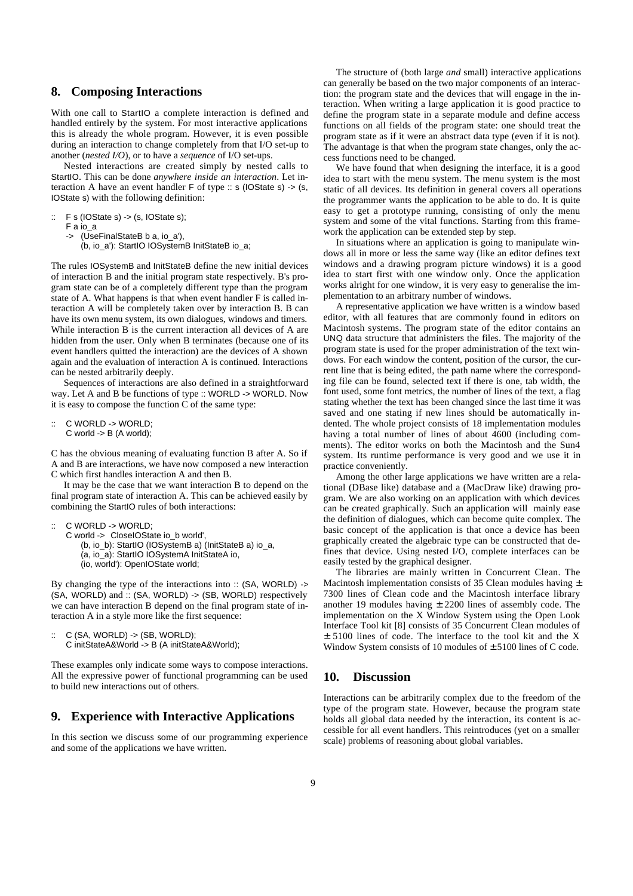## **8. Composing Interactions**

With one call to Start<sub>IO</sub> a complete interaction is defined and handled entirely by the system. For most interactive applications this is already the whole program. However, it is even possible during an interaction to change completely from that I/O set-up to another (*nested I/O*), or to have a *sequence* of I/O set-ups.

Nested interactions are created simply by nested calls to StartIO. This can be done *anywhere inside an interaction*. Let interaction A have an event handler F of type :: s (IOState s) -> (s, IOState s) with the following definition:

- $\therefore$  F s (IOState s) -> (s, IOState s);
	- F a io\_a
	- -> (UseFinalStateB b a, io\_a'),

(b, io\_a'): StartIO IOSystemB InitStateB io\_a;

The rules IOSystemB and InitStateB define the new initial devices of interaction B and the initial program state respectively. B's program state can be of a completely different type than the program state of A. What happens is that when event handler F is called interaction A will be completely taken over by interaction B. B can have its own menu system, its own dialogues, windows and timers. While interaction B is the current interaction all devices of A are hidden from the user. Only when B terminates (because one of its event handlers quitted the interaction) are the devices of A shown again and the evaluation of interaction A is continued. Interactions can be nested arbitrarily deeply.

Sequences of interactions are also defined in a straightforward way. Let A and B be functions of type :: WORLD -> WORLD. Now it is easy to compose the function C of the same type:

:: C WORLD -> WORLD;  $C$  world  $\rightarrow$  B (A world);

C has the obvious meaning of evaluating function B after A. So if A and B are interactions, we have now composed a new interaction C which first handles interaction A and then B.

It may be the case that we want interaction B to depend on the final program state of interaction A. This can be achieved easily by combining the StartIO rules of both interactions:

:: C WORLD -> WORLD;

- C world -> CloseIOState io\_b world',
	- (b, io\_b): StartIO (IOSystemB a) (InitStateB a) io\_a,
	- (a, io\_a): StartIO IOSystemA InitStateA io,
	- (io, world'): OpenIOState world;

By changing the type of the interactions into :: (SA, WORLD) -> (SA, WORLD) and :: (SA, WORLD) -> (SB, WORLD) respectively we can have interaction B depend on the final program state of interaction A in a style more like the first sequence:

```
:: C (SA, WORLD) -> (SB, WORLD);
   C initStateA&World -> B (A initStateA&World);
```
These examples only indicate some ways to compose interactions. All the expressive power of functional programming can be used to build new interactions out of others.

# **9. Experience with Interactive Applications**

In this section we discuss some of our programming experience and some of the applications we have written.

The structure of (both large *and* small) interactive applications can generally be based on the two major components of an interaction: the program state and the devices that will engage in the interaction. When writing a large application it is good practice to define the program state in a separate module and define access functions on all fields of the program state: one should treat the program state as if it were an abstract data type (even if it is not). The advantage is that when the program state changes, only the access functions need to be changed.

We have found that when designing the interface, it is a good idea to start with the menu system. The menu system is the most static of all devices. Its definition in general covers all operations the programmer wants the application to be able to do. It is quite easy to get a prototype running, consisting of only the menu system and some of the vital functions. Starting from this framework the application can be extended step by step.

In situations where an application is going to manipulate windows all in more or less the same way (like an editor defines text windows and a drawing program picture windows) it is a good idea to start first with one window only. Once the application works alright for one window, it is very easy to generalise the implementation to an arbitrary number of windows.

A representative application we have written is a window based editor, with all features that are commonly found in editors on Macintosh systems. The program state of the editor contains an UNQ data structure that administers the files. The majority of the program state is used for the proper administration of the text windows. For each window the content, position of the cursor, the current line that is being edited, the path name where the corresponding file can be found, selected text if there is one, tab width, the font used, some font metrics, the number of lines of the text, a flag stating whether the text has been changed since the last time it was saved and one stating if new lines should be automatically indented. The whole project consists of 18 implementation modules having a total number of lines of about 4600 (including comments). The editor works on both the Macintosh and the Sun4 system. Its runtime performance is very good and we use it in practice conveniently.

Among the other large applications we have written are a relational (DBase like) database and a (MacDraw like) drawing program. We are also working on an application with which devices can be created graphically. Such an application will mainly ease the definition of dialogues, which can become quite complex. The basic concept of the application is that once a device has been graphically created the algebraic type can be constructed that defines that device. Using nested I/O, complete interfaces can be easily tested by the graphical designer.

The libraries are mainly written in Concurrent Clean. The Macintosh implementation consists of 35 Clean modules having  $\pm$ 7300 lines of Clean code and the Macintosh interface library another 19 modules having  $\pm$  2200 lines of assembly code. The implementation on the X Window System using the Open Look Interface Tool kit [8] consists of 35 Concurrent Clean modules of ± 5100 lines of code. The interface to the tool kit and the X Window System consists of 10 modules of ± 5100 lines of C code.

## **10. Discussion**

Interactions can be arbitrarily complex due to the freedom of the type of the program state. However, because the program state holds all global data needed by the interaction, its content is accessible for all event handlers. This reintroduces (yet on a smaller scale) problems of reasoning about global variables.